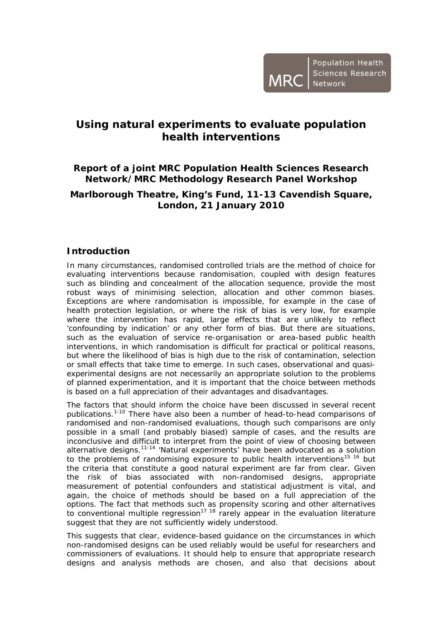## **Using natural experiments to evaluate population health interventions**

## **Report of a joint MRC Population Health Sciences Research Network/MRC Methodology Research Panel Workshop**

## **Marlborough Theatre, King's Fund, 11-13 Cavendish Square, London, 21 January 2010**

### **Introduction**

In many circumstances, randomised controlled trials are the method of choice for evaluating interventions because randomisation, coupled with design features such as blinding and concealment of the allocation sequence, provide the most robust ways of minimising selection, allocation and other common biases. Exceptions are where randomisation is impossible, for example in the case of health protection legislation, or where the risk of bias is very low, for example where the intervention has rapid, large effects that are unlikely to reflect 'confounding by indication' or any other form of bias. But there are situations, such as the evaluation of service re-organisation or area-based public health interventions, in which randomisation is difficult for practical or political reasons, but where the likelihood of bias is high due to the risk of contamination, selection or small effects that take time to emerge. In such cases, observational and quasiexperimental designs are not necessarily an appropriate solution to the problems of planned experimentation, and it is important that the choice between methods is based on a full appreciation of their advantages and disadvantages.

The factors that should inform the choice have been discussed in several recent publications.1-10 There have also been a number of head-to-head comparisons of randomised and non-randomised evaluations, though such comparisons are only possible in a small (and probably biased) sample of cases, and the results are inconclusive and difficult to interpret from the point of view of choosing between alternative designs.11-14 'Natural experiments' have been advocated as a solution to the problems of randomising exposure to public health interventions<sup>15 16</sup> but the criteria that constitute a good natural experiment are far from clear. Given the risk of bias associated with non-randomised designs, appropriate measurement of potential confounders and statistical adjustment is vital, and again, the choice of methods should be based on a full appreciation of the options. The fact that methods such as propensity scoring and other alternatives to conventional multiple regression<sup>17 18</sup> rarely appear in the evaluation literature suggest that they are not sufficiently widely understood.

This suggests that clear, evidence-based guidance on the circumstances in which non-randomised designs can be used reliably would be useful for researchers and commissioners of evaluations. It should help to ensure that appropriate research designs and analysis methods are chosen, and also that decisions about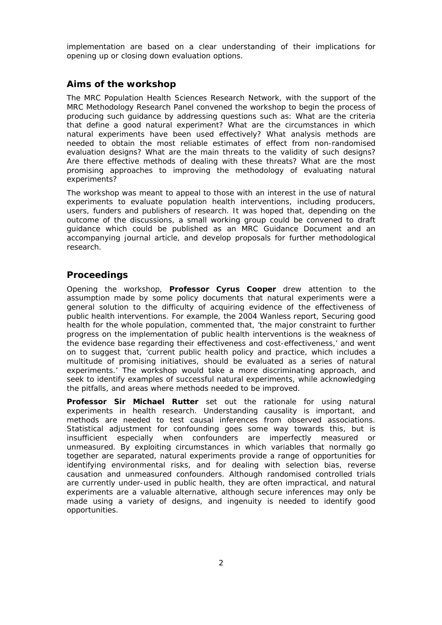implementation are based on a clear understanding of their implications for opening up or closing down evaluation options.

#### **Aims of the workshop**

The MRC Population Health Sciences Research Network, with the support of the MRC Methodology Research Panel convened the workshop to begin the process of producing such guidance by addressing questions such as: What are the criteria that define a good natural experiment? What are the circumstances in which natural experiments have been used effectively? What analysis methods are needed to obtain the most reliable estimates of effect from non-randomised evaluation designs? What are the main threats to the validity of such designs? Are there effective methods of dealing with these threats? What are the most promising approaches to improving the methodology of evaluating natural experiments?

The workshop was meant to appeal to those with an interest in the use of natural experiments to evaluate population health interventions, including producers, users, funders and publishers of research. It was hoped that, depending on the outcome of the discussions, a small working group could be convened to draft guidance which could be published as an MRC Guidance Document and an accompanying journal article, and develop proposals for further methodological research.

#### **Proceedings**

Opening the workshop, **Professor Cyrus Cooper** drew attention to the assumption made by some policy documents that natural experiments were a general solution to the difficulty of acquiring evidence of the effectiveness of public health interventions. For example, the 2004 Wanless report, *Securing good health for the whole population,* commented that, 'the major constraint to further progress on the implementation of public health interventions is the weakness of the evidence base regarding their effectiveness and cost-effectiveness,' and went on to suggest that, 'current public health policy and practice, which includes a multitude of promising initiatives, should be evaluated as a series of natural experiments.' The workshop would take a more discriminating approach, and seek to identify examples of successful natural experiments, while acknowledging the pitfalls, and areas where methods needed to be improved.

**Professor Sir Michael Rutter** set out the rationale for using natural experiments in health research. Understanding causality is important, and methods are needed to test causal inferences from observed associations. Statistical adjustment for confounding goes some way towards this, but is insufficient especially when confounders are imperfectly measured or unmeasured. By exploiting circumstances in which variables that normally go together are separated, natural experiments provide a range of opportunities for identifying environmental risks, and for dealing with selection bias, reverse causation and unmeasured confounders. Although randomised controlled trials are currently under-used in public health, they are often impractical, and natural experiments are a valuable alternative, although secure inferences may only be made using a variety of designs, and ingenuity is needed to identify good opportunities.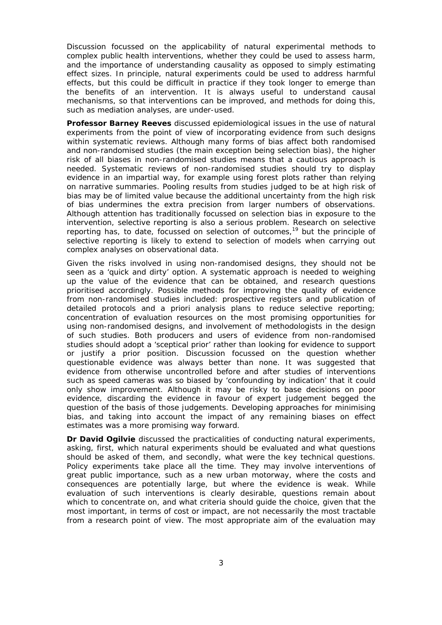Discussion focussed on the applicability of natural experimental methods to complex public health interventions, whether they could be used to assess harm, and the importance of understanding causality as opposed to simply estimating effect sizes. In principle, natural experiments could be used to address harmful effects, but this could be difficult in practice if they took longer to emerge than the benefits of an intervention. It is always useful to understand causal mechanisms, so that interventions can be improved, and methods for doing this, such as mediation analyses, are under-used.

**Professor Barney Reeves** discussed epidemiological issues in the use of natural experiments from the point of view of incorporating evidence from such designs within systematic reviews. Although many forms of bias affect both randomised and non-randomised studies (the main exception being selection bias), the higher risk of all biases in non-randomised studies means that a cautious approach is needed. Systematic reviews of non-randomised studies should try to display evidence in an impartial way, for example using forest plots rather than relying on narrative summaries. Pooling results from studies judged to be at high risk of bias may be of limited value because the additional uncertainty from the high risk of bias undermines the extra precision from larger numbers of observations. Although attention has traditionally focussed on selection bias in exposure to the intervention, selective reporting is also a serious problem. Research on selective reporting has, to date, focussed on selection of outcomes,<sup>19</sup> but the principle of selective reporting is likely to extend to selection of models when carrying out complex analyses on observational data.

Given the risks involved in using non-randomised designs, they should not be seen as a 'quick and dirty' option. A systematic approach is needed to weighing up the value of the evidence that can be obtained, and research questions prioritised accordingly. Possible methods for improving the quality of evidence from non-randomised studies included: prospective registers and publication of detailed protocols and a priori analysis plans to reduce selective reporting; concentration of evaluation resources on the most promising opportunities for using non-randomised designs, and involvement of methodologists in the design of such studies. Both producers and users of evidence from non-randomised studies should adopt a 'sceptical prior' rather than looking for evidence to support or justify a prior position. Discussion focussed on the question whether questionable evidence was always better than none. It was suggested that evidence from otherwise uncontrolled before and after studies of interventions such as speed cameras was so biased by 'confounding by indication' that it could only show improvement. Although it may be risky to base decisions on poor evidence, discarding the evidence in favour of expert judgement begged the question of the basis of those judgements. Developing approaches for minimising bias, and taking into account the impact of any remaining biases on effect estimates was a more promising way forward.

**Dr David Ogilvie** discussed the practicalities of conducting natural experiments, asking, first, which natural experiments should be evaluated and what questions should be asked of them, and secondly, what were the key technical questions. Policy experiments take place all the time. They may involve interventions of great public importance, such as a new urban motorway, where the costs and consequences are potentially large, but where the evidence is weak. While evaluation of such interventions is clearly desirable, questions remain about which to concentrate on, and what criteria should guide the choice, given that the most important, in terms of cost or impact, are not necessarily the most tractable from a research point of view. The most appropriate aim of the evaluation may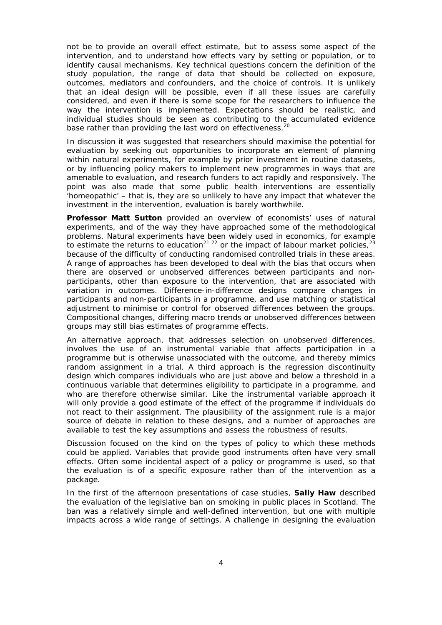not be to provide an overall effect estimate, but to assess some aspect of the intervention, and to understand how effects vary by setting or population, or to identify causal mechanisms. Key technical questions concern the definition of the study population, the range of data that should be collected on exposure, outcomes, mediators and confounders, and the choice of controls. It is unlikely that an ideal design will be possible, even if all these issues are carefully considered, and even if there is some scope for the researchers to influence the way the intervention is implemented. Expectations should be realistic, and individual studies should be seen as contributing to the accumulated evidence base rather than providing the last word on effectiveness.<sup>20</sup>

In discussion it was suggested that researchers should maximise the potential for evaluation by seeking out opportunities to incorporate an element of planning within natural experiments, for example by prior investment in routine datasets, or by influencing policy makers to implement new programmes in ways that are amenable to evaluation, and research funders to act rapidly and responsively. The point was also made that some public health interventions are essentially 'homeopathic' – that is, they are so unlikely to have any impact that whatever the investment in the intervention, evaluation is barely worthwhile.

**Professor Matt Sutton** provided an overview of economists' uses of natural experiments, and of the way they have approached some of the methodological problems. Natural experiments have been widely used in economics, for example to estimate the returns to education<sup>21 22</sup> or the impact of labour market policies.<sup>23</sup> because of the difficulty of conducting randomised controlled trials in these areas. A range of approaches has been developed to deal with the bias that occurs when there are observed or unobserved differences between participants and nonparticipants, other than exposure to the intervention, that are associated with variation in outcomes. Difference-in-difference designs compare changes in participants and non-participants in a programme, and use matching or statistical adjustment to minimise or control for observed differences between the groups. Compositional changes, differing macro trends or unobserved differences between groups may still bias estimates of programme effects.

An alternative approach, that addresses selection on unobserved differences, involves the use of an instrumental variable that affects participation in a programme but is otherwise unassociated with the outcome, and thereby mimics random assignment in a trial. A third approach is the regression discontinuity design which compares individuals who are just above and below a threshold in a continuous variable that determines eligibility to participate in a programme, and who are therefore otherwise similar. Like the instrumental variable approach it will only provide a good estimate of the effect of the programme if individuals do not react to their assignment. The plausibility of the assignment rule is a major source of debate in relation to these designs, and a number of approaches are available to test the key assumptions and assess the robustness of results.

Discussion focused on the kind on the types of policy to which these methods could be applied. Variables that provide good instruments often have very small effects. Often some incidental aspect of a policy or programme is used, so that the evaluation is of a specific exposure rather than of the intervention as a package.

In the first of the afternoon presentations of case studies, **Sally Haw** described the evaluation of the legislative ban on smoking in public places in Scotland. The ban was a relatively simple and well-defined intervention, but one with multiple impacts across a wide range of settings. A challenge in designing the evaluation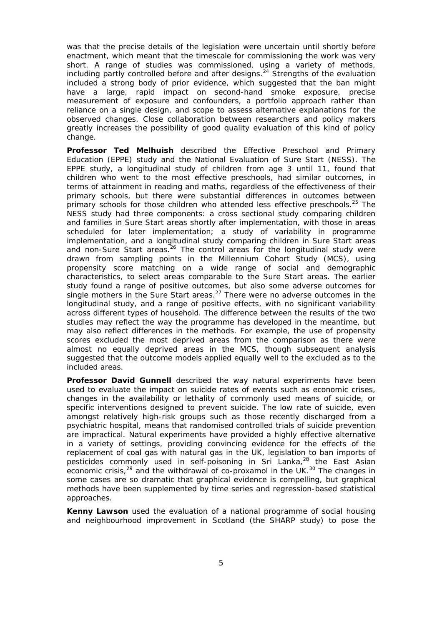was that the precise details of the legislation were uncertain until shortly before enactment, which meant that the timescale for commissioning the work was very short. A range of studies was commissioned, using a variety of methods, including partly controlled before and after designs.<sup>24</sup> Strengths of the evaluation included a strong body of prior evidence, which suggested that the ban might have a large, rapid impact on second-hand smoke exposure, precise measurement of exposure and confounders, a portfolio approach rather than reliance on a single design, and scope to assess alternative explanations for the observed changes. Close collaboration between researchers and policy makers greatly increases the possibility of good quality evaluation of this kind of policy change.

**Professor Ted Melhuish** described the Effective Preschool and Primary Education (EPPE) study and the National Evaluation of Sure Start (NESS). The EPPE study, a longitudinal study of children from age 3 until 11, found that children who went to the most effective preschools, had similar outcomes, in terms of attainment in reading and maths, regardless of the effectiveness of their primary schools, but there were substantial differences in outcomes between primary schools for those children who attended less effective preschools.<sup>25</sup> The NESS study had three components: a cross sectional study comparing children and families in Sure Start areas shortly after implementation, with those in areas scheduled for later implementation; a study of variability in programme implementation, and a longitudinal study comparing children in Sure Start areas and non-Sure Start areas.<sup>26</sup> The control areas for the longitudinal study were drawn from sampling points in the Millennium Cohort Study (MCS), using propensity score matching on a wide range of social and demographic characteristics, to select areas comparable to the Sure Start areas. The earlier study found a range of positive outcomes, but also some adverse outcomes for single mothers in the Sure Start areas.<sup>27</sup> There were no adverse outcomes in the longitudinal study, and a range of positive effects, with no significant variability across different types of household. The difference between the results of the two studies may reflect the way the programme has developed in the meantime, but may also reflect differences in the methods. For example, the use of propensity scores excluded the most deprived areas from the comparison as there were almost no equally deprived areas in the MCS, though subsequent analysis suggested that the outcome models applied equally well to the excluded as to the included areas.

**Professor David Gunnell** described the way natural experiments have been used to evaluate the impact on suicide rates of events such as economic crises, changes in the availability or lethality of commonly used means of suicide, or specific interventions designed to prevent suicide. The low rate of suicide, even amongst relatively high-risk groups such as those recently discharged from a psychiatric hospital, means that randomised controlled trials of suicide prevention are impractical. Natural experiments have provided a highly effective alternative in a variety of settings, providing convincing evidence for the effects of the replacement of coal gas with natural gas in the UK, legislation to ban imports of pesticides commonly used in self-poisoning in Sri Lanka, $^{28}$  the East Asian economic crisis, $29$  and the withdrawal of co-proxamol in the UK. $30$  The changes in some cases are so dramatic that graphical evidence is compelling, but graphical methods have been supplemented by time series and regression-based statistical approaches.

**Kenny Lawson** used the evaluation of a national programme of social housing and neighbourhood improvement in Scotland (the SHARP study) to pose the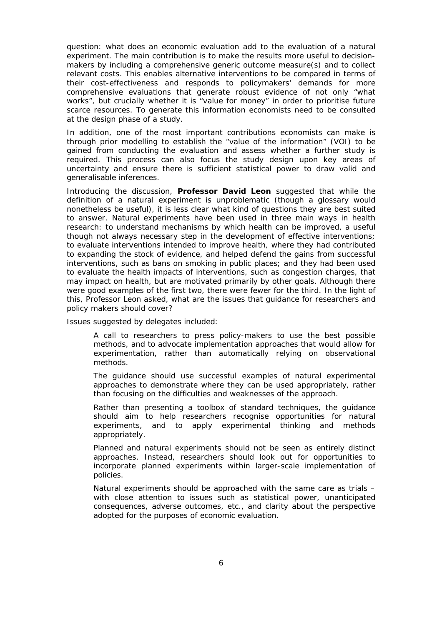question: what does an economic evaluation add to the evaluation of a natural experiment. The main contribution is to make the results more useful to decisionmakers by including a comprehensive generic outcome measure(s) and to collect relevant costs. This enables alternative interventions to be compared in terms of their cost-effectiveness and responds to policymakers' demands for more comprehensive evaluations that generate robust evidence of not only "what works", but crucially whether it is "value for money" in order to prioritise future scarce resources. To generate this information economists need to be consulted at the design phase of a study.

In addition, one of the most important contributions economists can make is through prior modelling to establish the "value of the information" (VOI) to be gained from conducting the evaluation and assess whether a further study is required. This process can also focus the study design upon key areas of uncertainty and ensure there is sufficient statistical power to draw valid and generalisable inferences.

Introducing the discussion, **Professor David Leon** suggested that while the definition of a natural experiment is unproblematic (though a glossary would nonetheless be useful), it is less clear what kind of questions they are best suited to answer. Natural experiments have been used in three main ways in health research: to understand mechanisms by which health can be improved, a useful though not always necessary step in the development of effective interventions; to evaluate interventions intended to improve health, where they had contributed to expanding the stock of evidence, and helped defend the gains from successful interventions, such as bans on smoking in public places; and they had been used to evaluate the health impacts of interventions, such as congestion charges, that may impact on health, but are motivated primarily by other goals. Although there were good examples of the first two, there were fewer for the third. In the light of this, Professor Leon asked, what are the issues that guidance for researchers and policy makers should cover?

Issues suggested by delegates included:

A call to researchers to press policy-makers to use the best possible methods, and to advocate implementation approaches that would allow for experimentation, rather than automatically relying on observational methods.

The guidance should use successful examples of natural experimental approaches to demonstrate where they can be used appropriately, rather than focusing on the difficulties and weaknesses of the approach.

Rather than presenting a toolbox of standard techniques, the guidance should aim to help researchers recognise opportunities for natural experiments, and to apply experimental thinking and methods appropriately.

Planned and natural experiments should not be seen as entirely distinct approaches. Instead, researchers should look out for opportunities to incorporate planned experiments within larger-scale implementation of policies.

Natural experiments should be approached with the same care as trials – with close attention to issues such as statistical power, unanticipated consequences, adverse outcomes, etc., and clarity about the perspective adopted for the purposes of economic evaluation.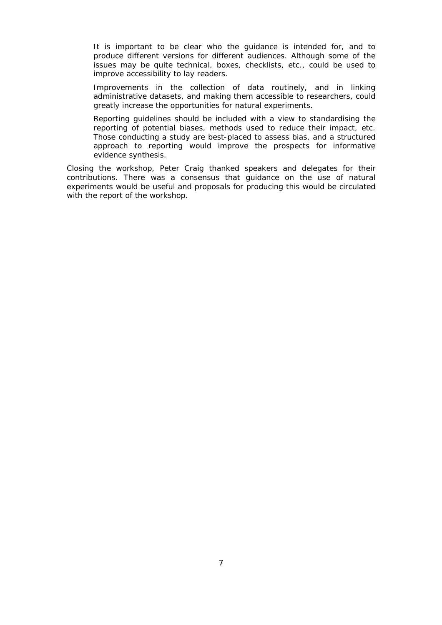It is important to be clear who the guidance is intended for, and to produce different versions for different audiences. Although some of the issues may be quite technical, boxes, checklists, etc., could be used to improve accessibility to lay readers.

Improvements in the collection of data routinely, and in linking administrative datasets, and making them accessible to researchers, could greatly increase the opportunities for natural experiments.

Reporting guidelines should be included with a view to standardising the reporting of potential biases, methods used to reduce their impact, etc. Those conducting a study are best-placed to assess bias, and a structured approach to reporting would improve the prospects for informative evidence synthesis.

Closing the workshop, Peter Craig thanked speakers and delegates for their contributions. There was a consensus that guidance on the use of natural experiments would be useful and proposals for producing this would be circulated with the report of the workshop.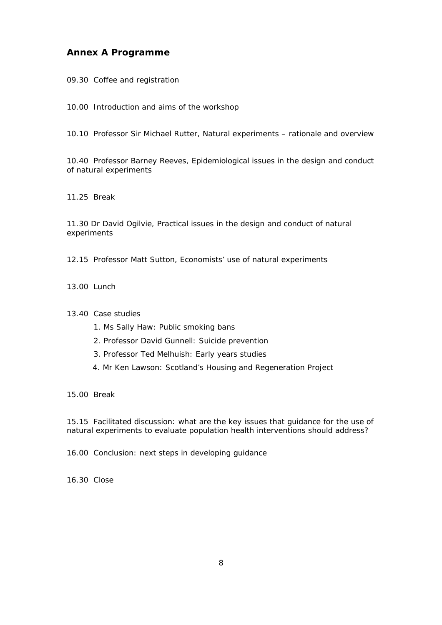#### **Annex A Programme**

09.30 Coffee and registration

10.00 Introduction and aims of the workshop

10.10 Professor Sir Michael Rutter, Natural experiments – rationale and overview

10.40 Professor Barney Reeves, Epidemiological issues in the design and conduct of natural experiments

11.25 Break

11.30 Dr David Ogilvie, Practical issues in the design and conduct of natural experiments

12.15 Professor Matt Sutton, Economists' use of natural experiments

13.00 Lunch

13.40 Case studies

- 1. Ms Sally Haw: Public smoking bans
- 2. Professor David Gunnell: Suicide prevention
- 3. Professor Ted Melhuish: Early years studies
- 4. Mr Ken Lawson: Scotland's Housing and Regeneration Project

15.00 Break

15.15 Facilitated discussion: what are the key issues that guidance for the use of natural experiments to evaluate population health interventions should address?

16.00 Conclusion: next steps in developing guidance

16.30 Close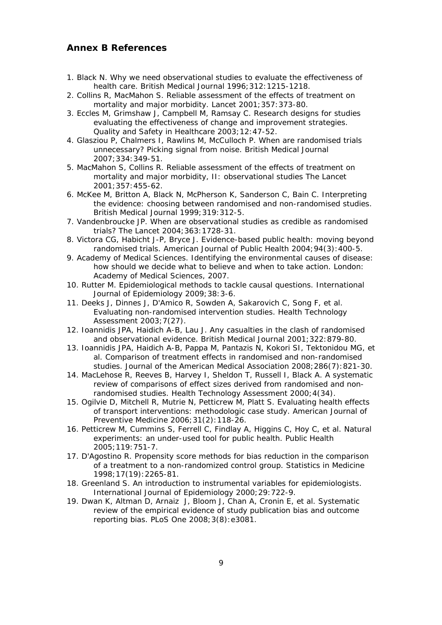#### **Annex B References**

- 1. Black N. Why we need observational studies to evaluate the effectiveness of health care. *British Medical Journal* 1996;312:1215-1218.
- 2. Collins R, MacMahon S. Reliable assessment of the effects of treatment on mortality and major morbidity. *Lancet* 2001;357:373-80.
- 3. Eccles M, Grimshaw J, Campbell M, Ramsay C. Research designs for studies evaluating the effectiveness of change and improvement strategies. *Quality and Safety in Healthcare* 2003;12:47-52.
- 4. Glasziou P, Chalmers I, Rawlins M, McCulloch P. When are randomised trials unnecessary? Picking signal from noise. *British Medical Journal* 2007;334:349-51.
- 5. MacMahon S, Collins R. Reliable assessment of the effects of treatment on mortality and major morbidity, II: observational studies *The Lancet* 2001;357:455-62.
- 6. McKee M, Britton A, Black N, McPherson K, Sanderson C, Bain C. Interpreting the evidence: choosing between randomised and non-randomised studies. *British Medical Journal* 1999;319:312-5.
- 7. Vandenbroucke JP. When are observational studies as credible as randomised trials? *The Lancet* 2004;363:1728-31.
- 8. Victora CG, Habicht J-P, Bryce J. Evidence-based public health: moving beyond randomised trials. *American Journal of Public Health* 2004;94(3):400-5.
- 9. Academy of Medical Sciences. Identifying the environmental causes of disease: how should we decide what to believe and when to take action. London: Academy of Medical Sciences, 2007.
- 10. Rutter M. Epidemiological methods to tackle causal questions. *International Journal of Epidemiology* 2009;38:3-6.
- 11. Deeks J, Dinnes J, D'Amico R, Sowden A, Sakarovich C, Song F, et al. Evaluating non-randomised intervention studies. *Health Technology Assessment* 2003;7(27).
- 12. Ioannidis JPA, Haidich A-B, Lau J. Any casualties in the clash of randomised and observational evidence. *British Medical Journal* 2001;322:879-80.
- 13. Ioannidis JPA, Haidich A-B, Pappa M, Pantazis N, Kokori SI, Tektonidou MG, et al. Comparison of treatment effects in randomised and non-randomised studies. *Journal of the American Medical Association* 2008;286(7):821-30.
- 14. MacLehose R, Reeves B, Harvey I, Sheldon T, Russell I, Black A. A systematic review of comparisons of effect sizes derived from randomised and nonrandomised studies. *Health Technology Assessment* 2000;4(34).
- 15. Ogilvie D, Mitchell R, Mutrie N, Petticrew M, Platt S. Evaluating health effects of transport interventions: methodologic case study. *American Journal of Preventive Medicine* 2006;31(2):118-26.
- 16. Petticrew M, Cummins S, Ferrell C, Findlay A, Higgins C, Hoy C, et al. Natural experiments: an under-used tool for public health. *Public Health* 2005;119:751-7.
- 17. D'Agostino R. Propensity score methods for bias reduction in the comparison of a treatment to a non-randomized control group. *Statistics in Medicine* 1998;17(19):2265-81.
- 18. Greenland S. An introduction to instrumental variables for epidemiologists. *International Journal of Epidemiology* 2000;29:722-9.
- 19. Dwan K, Altman D, Arnaiz J, Bloom J, Chan A, Cronin E, et al. Systematic review of the empirical evidence of study publication bias and outcome reporting bias. *PLoS One* 2008;3(8):e3081.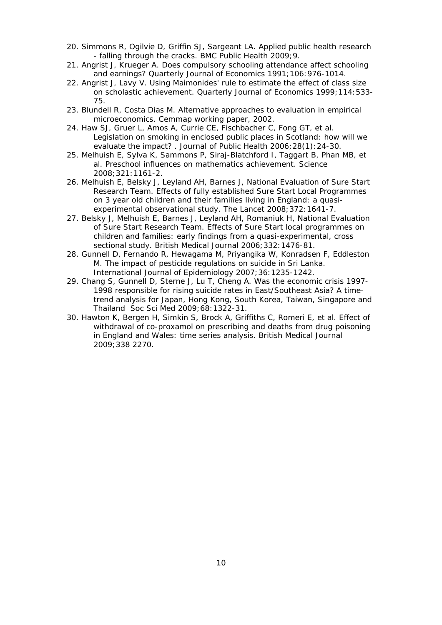- 20. Simmons R, Ogilvie D, Griffin SJ, Sargeant LA. Applied public health research - falling through the cracks. *BMC Public Health* 2009;9.
- 21. Angrist J, Krueger A. Does compulsory schooling attendance affect schooling and earnings? *Quarterly Journal of Economics* 1991;106:976-1014.
- 22. Angrist J, Lavy V. Using Maimonides' rule to estimate the effect of class size on scholastic achievement. *Quarterly Journal of Economics* 1999;114:533- 75.
- 23. Blundell R, Costa Dias M. Alternative approaches to evaluation in empirical microeconomics. *Cemmap working paper*, 2002.
- 24. Haw SJ, Gruer L, Amos A, Currie CE, Fischbacher C, Fong GT, et al. Legislation on smoking in enclosed public places in Scotland: how will we evaluate the impact? . *Journal of Public Health* 2006;28(1):24-30.
- 25. Melhuish E, Sylva K, Sammons P, Siraj-Blatchford I, Taggart B, Phan MB, et al. Preschool influences on mathematics achievement. *Science* 2008;321:1161-2.
- 26. Melhuish E, Belsky J, Leyland AH, Barnes J, National Evaluation of Sure Start Research Team. Effects of fully established Sure Start Local Programmes on 3 year old children and their families living in England: a quasiexperimental observational study. *The Lancet* 2008;372:1641-7.
- 27. Belsky J, Melhuish E, Barnes J, Leyland AH, Romaniuk H, National Evaluation of Sure Start Research Team. Effects of Sure Start local programmes on children and families: early findings from a quasi-experimental, cross sectional study. *British Medical Journal* 2006;332:1476-81.
- 28. Gunnell D, Fernando R, Hewagama M, Priyangika W, Konradsen F, Eddleston M. The impact of pesticide regulations on suicide in Sri Lanka. *International Journal of Epidemiology* 2007;36:1235-1242.
- 29. Chang S, Gunnell D, Sterne J, Lu T, Cheng A. Was the economic crisis 1997- 1998 responsible for rising suicide rates in East/Southeast Asia? A timetrend analysis for Japan, Hong Kong, South Korea, Taiwan, Singapore and Thailand *Soc Sci Med* 2009;68:1322-31.
- 30. Hawton K, Bergen H, Simkin S, Brock A, Griffiths C, Romeri E, et al. Effect of withdrawal of co-proxamol on prescribing and deaths from drug poisoning in England and Wales: time series analysis. *British Medical Journal* 2009;338 2270.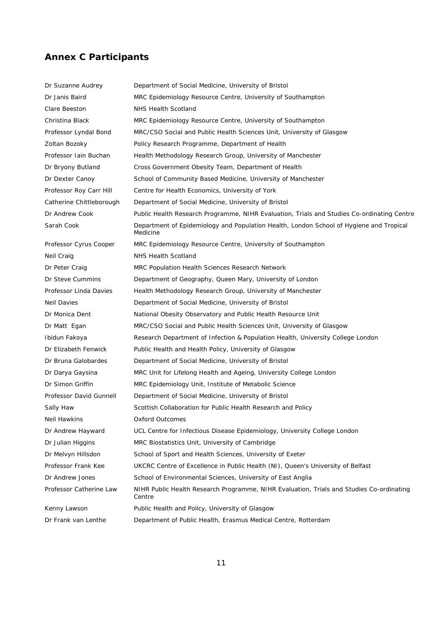# **Annex C Participants**

| Dr Suzanne Audrey        | Department of Social Medicine, University of Bristol                                                |
|--------------------------|-----------------------------------------------------------------------------------------------------|
| Dr Janis Baird           | MRC Epidemiology Resource Centre, University of Southampton                                         |
| Clare Beeston            | NHS Health Scotland                                                                                 |
| Christina Black          | MRC Epidemiology Resource Centre, University of Southampton                                         |
| Professor Lyndal Bond    | MRC/CSO Social and Public Health Sciences Unit, University of Glasgow                               |
| Zoltan Bozoky            | Policy Research Programme, Department of Health                                                     |
| Professor Iain Buchan    | Health Methodology Research Group, University of Manchester                                         |
| Dr Bryony Butland        | Cross Government Obesity Team, Department of Health                                                 |
| Dr Dexter Canoy          | School of Community Based Medicine, University of Manchester                                        |
| Professor Roy Carr Hill  | Centre for Health Economics, University of York                                                     |
| Catherine Chittleborough | Department of Social Medicine, University of Bristol                                                |
| Dr Andrew Cook           | Public Health Research Programme, NIHR Evaluation, Trials and Studies Co-ordinating Centre          |
| Sarah Cook               | Department of Epidemiology and Population Health, London School of Hygiene and Tropical<br>Medicine |
| Professor Cyrus Cooper   | MRC Epidemiology Resource Centre, University of Southampton                                         |
| Neil Craig               | NHS Health Scotland                                                                                 |
| Dr Peter Craig           | MRC Population Health Sciences Research Network                                                     |
| Dr Steve Cummins         | Department of Geography, Queen Mary, University of London                                           |
| Professor Linda Davies   | Health Methodology Research Group, University of Manchester                                         |
| Neil Davies              | Department of Social Medicine, University of Bristol                                                |
| Dr Monica Dent           | National Obesity Observatory and Public Health Resource Unit                                        |
| Dr Matt Egan             | MRC/CSO Social and Public Health Sciences Unit, University of Glasgow                               |
| Ibidun Fakoya            | Research Department of Infection & Population Health, University College London                     |
| Dr Elizabeth Fenwick     | Public Health and Health Policy, University of Glasgow                                              |
| Dr Bruna Galobardes      | Department of Social Medicine, University of Bristol                                                |
| Dr Darya Gaysina         | MRC Unit for Lifelong Health and Ageing, University College London                                  |
| Dr Simon Griffin         | MRC Epidemiology Unit, Institute of Metabolic Science                                               |
| Professor David Gunnell  | Department of Social Medicine, University of Bristol                                                |
| Sally Haw                | Scottish Collaboration for Public Health Research and Policy                                        |
| Neil Hawkins             | Oxford Outcomes                                                                                     |
| Dr Andrew Hayward        | UCL Centre for Infectious Disease Epidemiology, University College London                           |
| Dr Julian Higgins        | MRC Biostatistics Unit, University of Cambridge                                                     |
| Dr Melvyn Hillsdon       | School of Sport and Health Sciences, University of Exeter                                           |
| Professor Frank Kee      | UKCRC Centre of Excellence in Public Health (NI), Queen's University of Belfast                     |
| Dr Andrew Jones          | School of Environmental Sciences, University of East Anglia                                         |
| Professor Catherine Law  | NIHR Public Health Research Programme, NIHR Evaluation, Trials and Studies Co-ordinating<br>Centre  |
| Kenny Lawson             | Public Health and Policy, University of Glasgow                                                     |
| Dr Frank van Lenthe      | Department of Public Health, Erasmus Medical Centre, Rotterdam                                      |